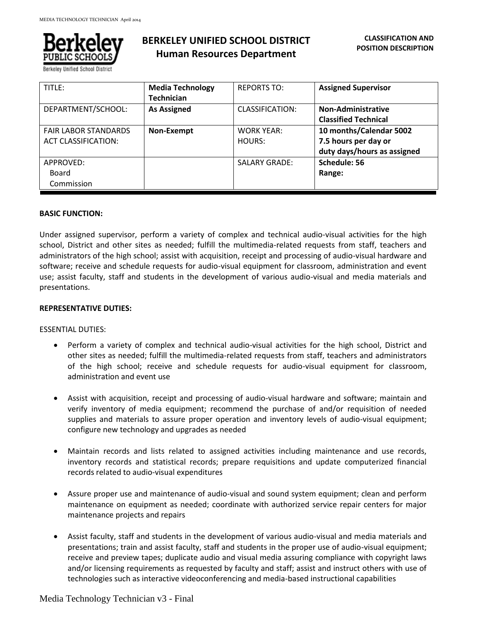

Berkeley Unified School District

# **BERKELEY UNIFIED SCHOOL DISTRICT Human Resources Department**

| TITLE:                                                    | <b>Media Technology</b><br><b>Technician</b> | <b>REPORTS TO:</b>          | <b>Assigned Supervisor</b>                                                     |
|-----------------------------------------------------------|----------------------------------------------|-----------------------------|--------------------------------------------------------------------------------|
| DEPARTMENT/SCHOOL:                                        | <b>As Assigned</b>                           | CLASSIFICATION:             | <b>Non-Administrative</b><br><b>Classified Technical</b>                       |
| <b>FAIR LABOR STANDARDS</b><br><b>ACT CLASSIFICATION:</b> | Non-Exempt                                   | <b>WORK YEAR:</b><br>HOURS: | 10 months/Calendar 5002<br>7.5 hours per day or<br>duty days/hours as assigned |
| APPROVED:<br>Board<br>Commission                          |                                              | <b>SALARY GRADE:</b>        | Schedule: 56<br>Range:                                                         |

# **BASIC FUNCTION:**

Under assigned supervisor, perform a variety of complex and technical audio-visual activities for the high school, District and other sites as needed; fulfill the multimedia-related requests from staff, teachers and administrators of the high school; assist with acquisition, receipt and processing of audio-visual hardware and software; receive and schedule requests for audio-visual equipment for classroom, administration and event use; assist faculty, staff and students in the development of various audio-visual and media materials and presentations.

#### **REPRESENTATIVE DUTIES:**

#### ESSENTIAL DUTIES:

- Perform a variety of complex and technical audio-visual activities for the high school, District and other sites as needed; fulfill the multimedia-related requests from staff, teachers and administrators of the high school; receive and schedule requests for audio-visual equipment for classroom, administration and event use
- Assist with acquisition, receipt and processing of audio-visual hardware and software; maintain and verify inventory of media equipment; recommend the purchase of and/or requisition of needed supplies and materials to assure proper operation and inventory levels of audio-visual equipment; configure new technology and upgrades as needed
- Maintain records and lists related to assigned activities including maintenance and use records, inventory records and statistical records; prepare requisitions and update computerized financial records related to audio-visual expenditures
- Assure proper use and maintenance of audio-visual and sound system equipment; clean and perform maintenance on equipment as needed; coordinate with authorized service repair centers for major maintenance projects and repairs
- Assist faculty, staff and students in the development of various audio-visual and media materials and presentations; train and assist faculty, staff and students in the proper use of audio-visual equipment; receive and preview tapes; duplicate audio and visual media assuring compliance with copyright laws and/or licensing requirements as requested by faculty and staff; assist and instruct others with use of technologies such as interactive videoconferencing and media-based instructional capabilities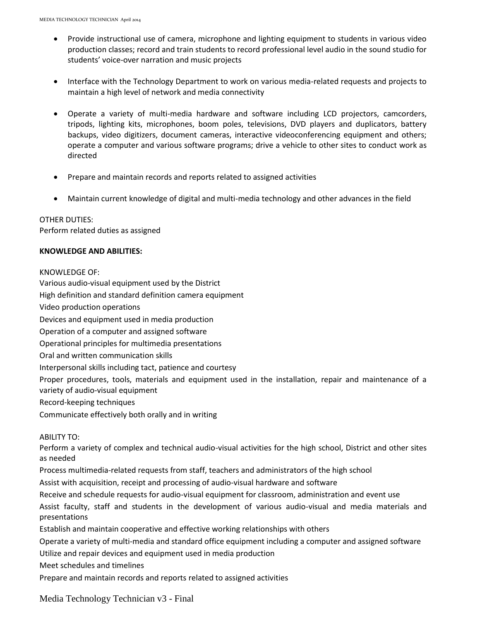- Provide instructional use of camera, microphone and lighting equipment to students in various video production classes; record and train students to record professional level audio in the sound studio for students' voice-over narration and music projects
- Interface with the Technology Department to work on various media-related requests and projects to maintain a high level of network and media connectivity
- Operate a variety of multi-media hardware and software including LCD projectors, camcorders, tripods, lighting kits, microphones, boom poles, televisions, DVD players and duplicators, battery backups, video digitizers, document cameras, interactive videoconferencing equipment and others; operate a computer and various software programs; drive a vehicle to other sites to conduct work as directed
- Prepare and maintain records and reports related to assigned activities
- Maintain current knowledge of digital and multi-media technology and other advances in the field

# OTHER DUTIES:

Perform related duties as assigned

#### **KNOWLEDGE AND ABILITIES:**

### KNOWLEDGE OF:

Various audio-visual equipment used by the District

High definition and standard definition camera equipment

Video production operations

Devices and equipment used in media production

Operation of a computer and assigned software

Operational principles for multimedia presentations

Oral and written communication skills

Interpersonal skills including tact, patience and courtesy

Proper procedures, tools, materials and equipment used in the installation, repair and maintenance of a variety of audio-visual equipment

Record-keeping techniques

Communicate effectively both orally and in writing

# ABILITY TO:

Perform a variety of complex and technical audio-visual activities for the high school, District and other sites as needed

Process multimedia-related requests from staff, teachers and administrators of the high school

Assist with acquisition, receipt and processing of audio-visual hardware and software

Receive and schedule requests for audio-visual equipment for classroom, administration and event use

Assist faculty, staff and students in the development of various audio-visual and media materials and presentations

Establish and maintain cooperative and effective working relationships with others

Operate a variety of multi-media and standard office equipment including a computer and assigned software

Utilize and repair devices and equipment used in media production

Meet schedules and timelines

Prepare and maintain records and reports related to assigned activities

Media Technology Technician v3 - Final